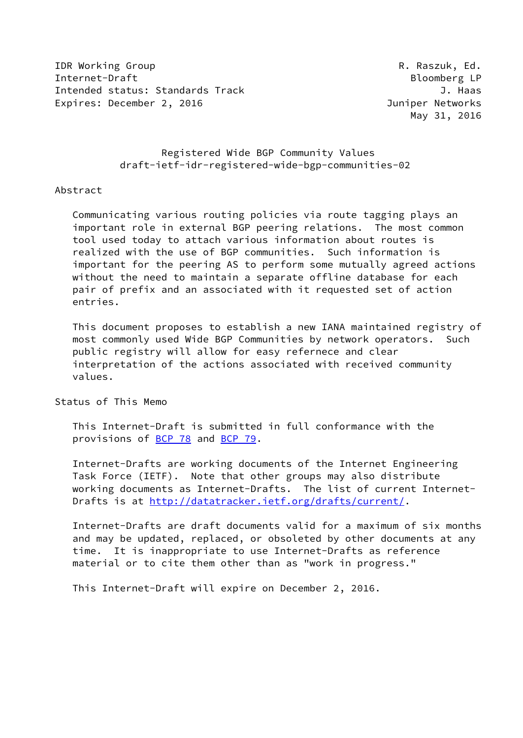**IDR Working Group R. Raszuk, Ed.** Internet-Draft Bloomberg LP Intended status: Standards Track J. Haas Expires: December 2, 2016 **Immediate State Control** Duniper Networks

May 31, 2016

 Registered Wide BGP Community Values draft-ietf-idr-registered-wide-bgp-communities-02

### Abstract

 Communicating various routing policies via route tagging plays an important role in external BGP peering relations. The most common tool used today to attach various information about routes is realized with the use of BGP communities. Such information is important for the peering AS to perform some mutually agreed actions without the need to maintain a separate offline database for each pair of prefix and an associated with it requested set of action entries.

 This document proposes to establish a new IANA maintained registry of most commonly used Wide BGP Communities by network operators. Such public registry will allow for easy refernece and clear interpretation of the actions associated with received community values.

### Status of This Memo

 This Internet-Draft is submitted in full conformance with the provisions of [BCP 78](https://datatracker.ietf.org/doc/pdf/bcp78) and [BCP 79](https://datatracker.ietf.org/doc/pdf/bcp79).

 Internet-Drafts are working documents of the Internet Engineering Task Force (IETF). Note that other groups may also distribute working documents as Internet-Drafts. The list of current Internet- Drafts is at<http://datatracker.ietf.org/drafts/current/>.

 Internet-Drafts are draft documents valid for a maximum of six months and may be updated, replaced, or obsoleted by other documents at any time. It is inappropriate to use Internet-Drafts as reference material or to cite them other than as "work in progress."

This Internet-Draft will expire on December 2, 2016.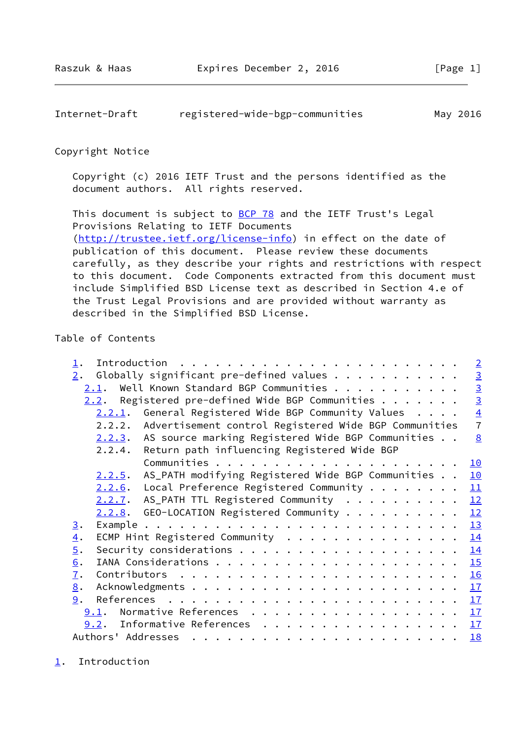<span id="page-1-1"></span>Internet-Draft registered-wide-bgp-communities May 2016

Copyright Notice

 Copyright (c) 2016 IETF Trust and the persons identified as the document authors. All rights reserved.

This document is subject to **[BCP 78](https://datatracker.ietf.org/doc/pdf/bcp78)** and the IETF Trust's Legal Provisions Relating to IETF Documents [\(http://trustee.ietf.org/license-info](http://trustee.ietf.org/license-info)) in effect on the date of publication of this document. Please review these documents carefully, as they describe your rights and restrictions with respect to this document. Code Components extracted from this document must include Simplified BSD License text as described in Section 4.e of the Trust Legal Provisions and are provided without warranty as described in the Simplified BSD License.

## Table of Contents

| $\perp$ .         |                                                                 | $\overline{2}$ |
|-------------------|-----------------------------------------------------------------|----------------|
| 2.                | Globally significant pre-defined values                         |                |
|                   | Well Known Standard BGP Communities<br>2.1.                     | $\frac{3}{3}$  |
|                   | 2.2. Registered pre-defined Wide BGP Communities $\dots \dots$  |                |
|                   | General Registered Wide BGP Community Values<br>2.2.1.          | $\frac{4}{7}$  |
|                   | Advertisement control Registered Wide BGP Communities<br>2.2.2. |                |
|                   | AS source marking Registered Wide BGP Communities<br>2.2.3.     | 8              |
|                   | Return path influencing Registered Wide BGP<br>2.2.4.           |                |
|                   |                                                                 | <u> 10</u>     |
|                   | AS_PATH modifying Registered Wide BGP Communities<br>2.2.5.     | 10             |
|                   | Local Preference Registered Community $\cdots$<br>2.2.6.        | 11             |
|                   | 2.2.7. AS_PATH TTL Registered Community                         | 12             |
|                   | $2.2.8$ . GEO-LOCATION Registered Community                     | 12             |
| 3.                |                                                                 | 13             |
| $\overline{4}$ .  | ECMP Hint Registered Community                                  | 14             |
| $\overline{5}$ .  |                                                                 | 14             |
| 6.                |                                                                 | 15             |
| 7.                |                                                                 | 16             |
| $\underline{8}$ . |                                                                 | 17             |
| 9.                |                                                                 | 17             |
|                   | Normative References<br>9.1.                                    | 17             |
|                   | Informative References<br>9.2.                                  | 17             |
|                   | Authors' Addresses                                              | <b>18</b>      |

<span id="page-1-0"></span>[1](#page-1-0). Introduction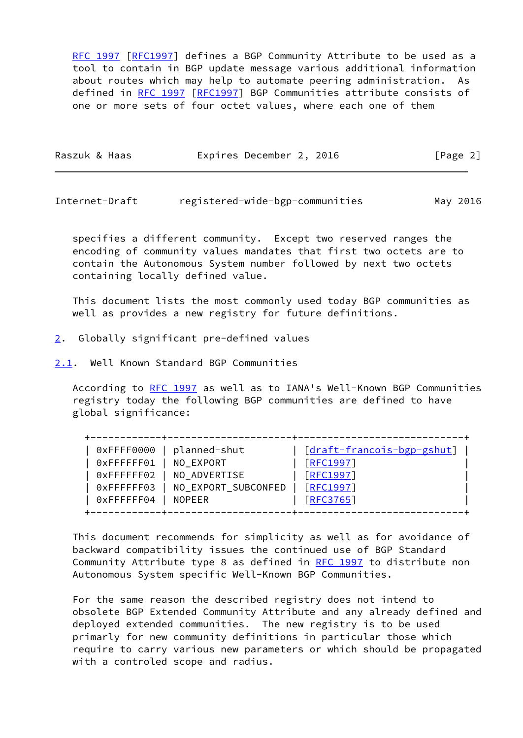[RFC 1997](https://datatracker.ietf.org/doc/pdf/rfc1997) [\[RFC1997](https://datatracker.ietf.org/doc/pdf/rfc1997)] defines a BGP Community Attribute to be used as a tool to contain in BGP update message various additional information about routes which may help to automate peering administration. As defined in [RFC 1997 \[RFC1997](https://datatracker.ietf.org/doc/pdf/rfc1997)] BGP Communities attribute consists of one or more sets of four octet values, where each one of them

| Raszuk & Haas | Expires December 2, 2016 | [Page 2] |
|---------------|--------------------------|----------|
|               |                          |          |

<span id="page-2-1"></span>Internet-Draft registered-wide-bgp-communities May 2016

 specifies a different community. Except two reserved ranges the encoding of community values mandates that first two octets are to contain the Autonomous System number followed by next two octets containing locally defined value.

 This document lists the most commonly used today BGP communities as well as provides a new registry for future definitions.

- <span id="page-2-0"></span>[2](#page-2-0). Globally significant pre-defined values
- <span id="page-2-2"></span>[2.1](#page-2-2). Well Known Standard BGP Communities

 According to [RFC 1997](https://datatracker.ietf.org/doc/pdf/rfc1997) as well as to IANA's Well-Known BGP Communities registry today the following BGP communities are defined to have global significance:

| 0xFFFFFF01<br>[REC1997]<br>NO EXPORT<br>0xFFFFFF02<br><b>FRFC1997</b><br>NO_ADVERTISE<br><b>FRFC19971</b><br>NO_EXPORT_SUBCONFED<br>0xFFFFFF03<br>0xFFFFFF04<br>[REC3765]<br><b>NOPEER</b> | 0xFFFF0000 | planned-shut | [draft-francois-bgp-gshut] |
|--------------------------------------------------------------------------------------------------------------------------------------------------------------------------------------------|------------|--------------|----------------------------|
|--------------------------------------------------------------------------------------------------------------------------------------------------------------------------------------------|------------|--------------|----------------------------|

 This document recommends for simplicity as well as for avoidance of backward compatibility issues the continued use of BGP Standard Community Attribute type 8 as defined in [RFC 1997](https://datatracker.ietf.org/doc/pdf/rfc1997) to distribute non Autonomous System specific Well-Known BGP Communities.

 For the same reason the described registry does not intend to obsolete BGP Extended Community Attribute and any already defined and deployed extended communities. The new registry is to be used primarly for new community definitions in particular those which require to carry various new parameters or which should be propagated with a controled scope and radius.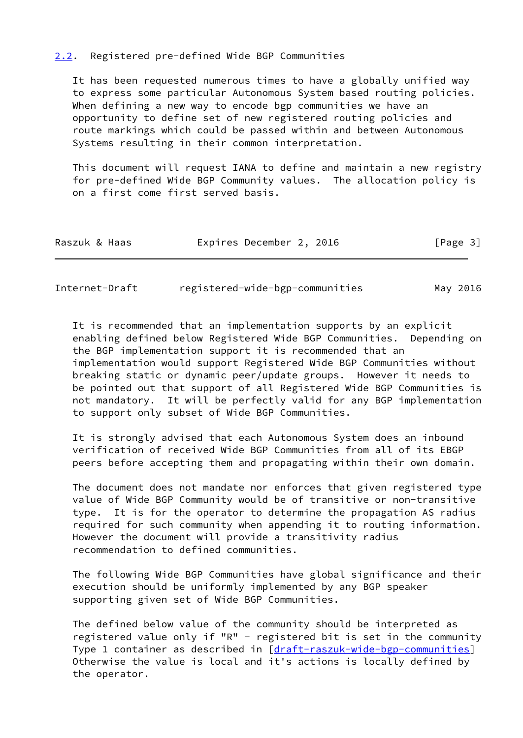### <span id="page-3-0"></span>[2.2](#page-3-0). Registered pre-defined Wide BGP Communities

 It has been requested numerous times to have a globally unified way to express some particular Autonomous System based routing policies. When defining a new way to encode bgp communities we have an opportunity to define set of new registered routing policies and route markings which could be passed within and between Autonomous Systems resulting in their common interpretation.

 This document will request IANA to define and maintain a new registry for pre-defined Wide BGP Community values. The allocation policy is on a first come first served basis.

| Raszuk & Haas | Expires December 2, 2016 | [Page 3] |
|---------------|--------------------------|----------|
|               |                          |          |

<span id="page-3-1"></span>

| Internet-Draft | registered-wide-bgp-communities | May 2016 |
|----------------|---------------------------------|----------|
|----------------|---------------------------------|----------|

 It is recommended that an implementation supports by an explicit enabling defined below Registered Wide BGP Communities. Depending on the BGP implementation support it is recommended that an implementation would support Registered Wide BGP Communities without breaking static or dynamic peer/update groups. However it needs to be pointed out that support of all Registered Wide BGP Communities is not mandatory. It will be perfectly valid for any BGP implementation to support only subset of Wide BGP Communities.

 It is strongly advised that each Autonomous System does an inbound verification of received Wide BGP Communities from all of its EBGP peers before accepting them and propagating within their own domain.

 The document does not mandate nor enforces that given registered type value of Wide BGP Community would be of transitive or non-transitive type. It is for the operator to determine the propagation AS radius required for such community when appending it to routing information. However the document will provide a transitivity radius recommendation to defined communities.

 The following Wide BGP Communities have global significance and their execution should be uniformly implemented by any BGP speaker supporting given set of Wide BGP Communities.

 The defined below value of the community should be interpreted as registered value only if "R" - registered bit is set in the community Type 1 container as described in [\[draft-raszuk-wide-bgp-communities\]](https://datatracker.ietf.org/doc/pdf/draft-raszuk-wide-bgp-communities) Otherwise the value is local and it's actions is locally defined by the operator.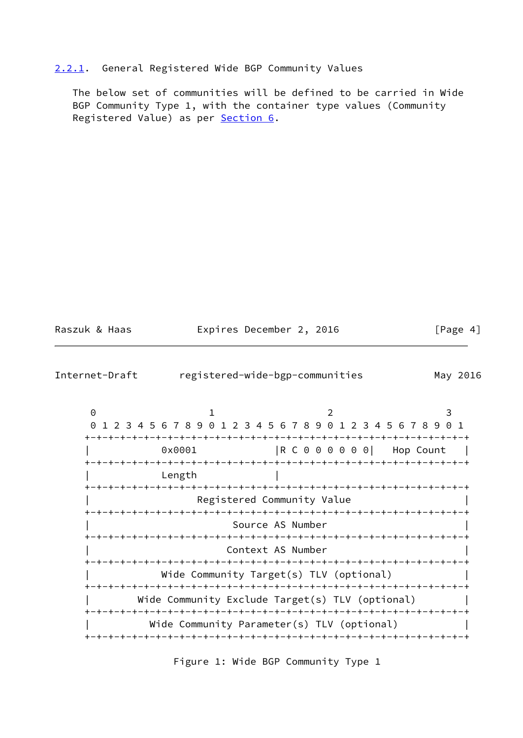# <span id="page-4-0"></span>[2.2.1](#page-4-0). General Registered Wide BGP Community Values

 The below set of communities will be defined to be carried in Wide BGP Community Type 1, with the container type values (Community Registered Value) as per [Section 6](#page-15-2).

| Raszuk & Haas |  |
|---------------|--|
|               |  |

Expires December 2, 2016 [Page 4]

| Internet-Draft                  |                                                                       |  | registered-wide-bgp-communities |                                                               | May 2016  |  |  |
|---------------------------------|-----------------------------------------------------------------------|--|---------------------------------|---------------------------------------------------------------|-----------|--|--|
| $\Theta$<br>$\Theta$            | 1                                                                     |  |                                 | 1 2 3 4 5 6 7 8 9 0 1 2 3 4 5 6 7 8 9 0 1 2 3 4 5 6 7 8 9 0 1 | 3         |  |  |
|                                 | 0x0001                                                                |  |                                 | $\begin{bmatrix} R & C & 0 & 0 & 0 & 0 & 0 & 0 \end{bmatrix}$ | Hop Count |  |  |
|                                 | -+-+-+-+-+-+-+-+<br>Length                                            |  |                                 | -+-+-+-+-+-+-+-+-+-+                                          |           |  |  |
| +-+-+-+-+-+-+-+-+-+-+-+-+-+-+-+ |                                                                       |  |                                 | -+-+-+-+-+-+-+-+-+-+-+-+-+-                                   |           |  |  |
|                                 | Registered Community Value                                            |  |                                 |                                                               |           |  |  |
|                                 | Source AS Number<br>-+-+-+-+-+-+-+-+<br>-+-+-+-+-+-+-+-+-+            |  |                                 |                                                               |           |  |  |
|                                 | Context AS Number                                                     |  |                                 |                                                               |           |  |  |
|                                 | Wide Community Target(s) TLV (optional)                               |  |                                 |                                                               |           |  |  |
|                                 | Wide Community Exclude Target(s) TLV (optional)<br>-+-+-+-+-+-+-+-+-+ |  |                                 |                                                               |           |  |  |
|                                 |                                                                       |  |                                 | Wide Community Parameter(s) TLV (optional)                    |           |  |  |

Figure 1: Wide BGP Community Type 1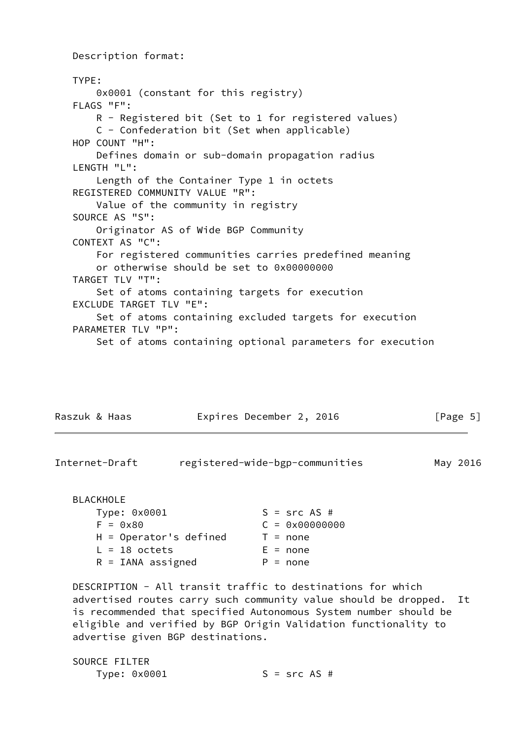Description format: TYPE: 0x0001 (constant for this registry) FLAGS "F": R - Registered bit (Set to 1 for registered values) C - Confederation bit (Set when applicable) HOP COUNT "H": Defines domain or sub-domain propagation radius LENGTH "L": Length of the Container Type 1 in octets REGISTERED COMMUNITY VALUE "R": Value of the community in registry SOURCE AS "S": Originator AS of Wide BGP Community CONTEXT AS "C": For registered communities carries predefined meaning or otherwise should be set to 0x00000000 TARGET TLV "T": Set of atoms containing targets for execution EXCLUDE TARGET TLV "E": Set of atoms containing excluded targets for execution PARAMETER TLV "P": Set of atoms containing optional parameters for execution

| Raszuk & Haas | Expires December 2, 2016 | [Page 5] |
|---------------|--------------------------|----------|
|               |                          |          |

| Internet-Draft | registered-wide-bgp-communities | May 2016 |
|----------------|---------------------------------|----------|
|                |                                 |          |

## BLACKHOLE

| $S = src AS #$          |
|-------------------------|
| $C = 0 \times 00000000$ |
| $T = none$              |
| $E = none$              |
| $P = none$              |
|                         |

 DESCRIPTION - All transit traffic to destinations for which advertised routes carry such community value should be dropped. It is recommended that specified Autonomous System number should be eligible and verified by BGP Origin Validation functionality to advertise given BGP destinations.

| SOURCE FILTER |                |
|---------------|----------------|
| Type: 0x0001  | $S = src AS #$ |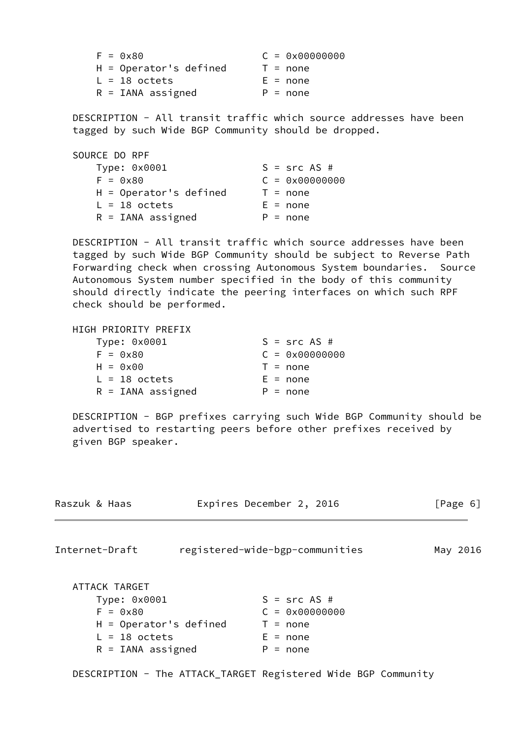| $F = \theta \times 8\theta$ | $C = 0 \times 00000000$ |
|-----------------------------|-------------------------|
| $H =$ Operator's defined    | $T = none$              |
| $L = 18$ octets             | $E = none$              |
| $R = IANA$ assigned         | $P = none$              |

 DESCRIPTION - All transit traffic which source addresses have been tagged by such Wide BGP Community should be dropped.

| SOURCE DO RPF            |                         |
|--------------------------|-------------------------|
| Type: 0x0001             | $S = src AS #$          |
| $F = 0x80$               | $C = 0 \times 00000000$ |
| $H =$ Operator's defined | $T = none$              |
| $L = 18$ octets          | $E = none$              |
| $R = IANA$ assigned      | $P = none$              |

 DESCRIPTION - All transit traffic which source addresses have been tagged by such Wide BGP Community should be subject to Reverse Path Forwarding check when crossing Autonomous System boundaries. Source Autonomous System number specified in the body of this community should directly indicate the peering interfaces on which such RPF check should be performed.

| HIGH PRIORITY PREFIX |                         |
|----------------------|-------------------------|
| Type: 0x0001         | $S = src AS #$          |
| $F = 0x80$           | $C = 0 \times 00000000$ |
| $H = 0 \times 00$    | $T = none$              |
| $L = 18$ octets      | $E = none$              |
| $R = IANA$ assigned  | $P = none$              |

 DESCRIPTION - BGP prefixes carrying such Wide BGP Community should be advertised to restarting peers before other prefixes received by given BGP speaker.

| Raszuk & Haas                                                                                                     | Expires December 2, 2016                                                            | [Page 6] |
|-------------------------------------------------------------------------------------------------------------------|-------------------------------------------------------------------------------------|----------|
| Internet-Draft                                                                                                    | registered-wide-bgp-communities                                                     | May 2016 |
| ATTACK TARGET<br>Type: 0x0001<br>$F = 0x80$<br>$H =$ Operator's defined<br>$L = 18$ octets<br>$R = IANA$ assigned | $S = src AS #$<br>$C = 0 \times 00000000$<br>$T = none$<br>$E = none$<br>$P = none$ |          |

DESCRIPTION - The ATTACK\_TARGET Registered Wide BGP Community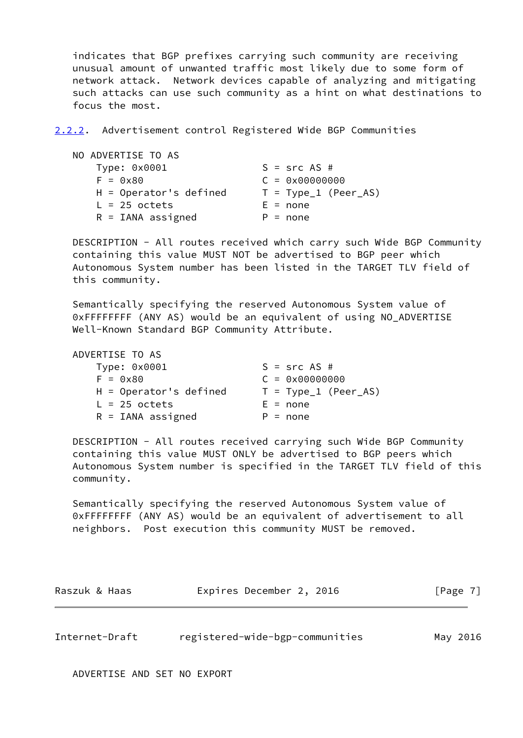indicates that BGP prefixes carrying such community are receiving unusual amount of unwanted traffic most likely due to some form of network attack. Network devices capable of analyzing and mitigating such attacks can use such community as a hint on what destinations to focus the most.

<span id="page-7-1"></span>[2.2.2](#page-7-1). Advertisement control Registered Wide BGP Communities

| NO ADVERTISE TO AS       |                         |
|--------------------------|-------------------------|
| Type: 0x0001             | $S = src AS #$          |
| $F = 0x80$               | $C = 0 \times 00000000$ |
| $H =$ Operator's defined | $T = Type_1 (Peer_A S)$ |
| $L = 25$ octets          | $E = none$              |
| $R = IANA$ assigned      | $P = none$              |

 DESCRIPTION - All routes received which carry such Wide BGP Community containing this value MUST NOT be advertised to BGP peer which Autonomous System number has been listed in the TARGET TLV field of this community.

 Semantically specifying the reserved Autonomous System value of 0xFFFFFFFF (ANY AS) would be an equivalent of using NO\_ADVERTISE Well-Known Standard BGP Community Attribute.

| ADVERTISE TO AS          |                         |
|--------------------------|-------------------------|
| Type: 0x0001             | $S = src AS #$          |
| $F = 0x80$               | $C = 0 \times 00000000$ |
| $H =$ Operator's defined | $T = Type_1 (Peer_A S)$ |
| $L = 25$ octets          | $E = none$              |
| $R = IANA$ assigned      | $P = none$              |

 DESCRIPTION - All routes received carrying such Wide BGP Community containing this value MUST ONLY be advertised to BGP peers which Autonomous System number is specified in the TARGET TLV field of this community.

 Semantically specifying the reserved Autonomous System value of 0xFFFFFFFF (ANY AS) would be an equivalent of advertisement to all neighbors. Post execution this community MUST be removed.

| Raszuk & Haas | Expires December 2, 2016 |  | [Page 7] |
|---------------|--------------------------|--|----------|
|---------------|--------------------------|--|----------|

<span id="page-7-0"></span>Internet-Draft registered-wide-bgp-communities May 2016

ADVERTISE AND SET NO EXPORT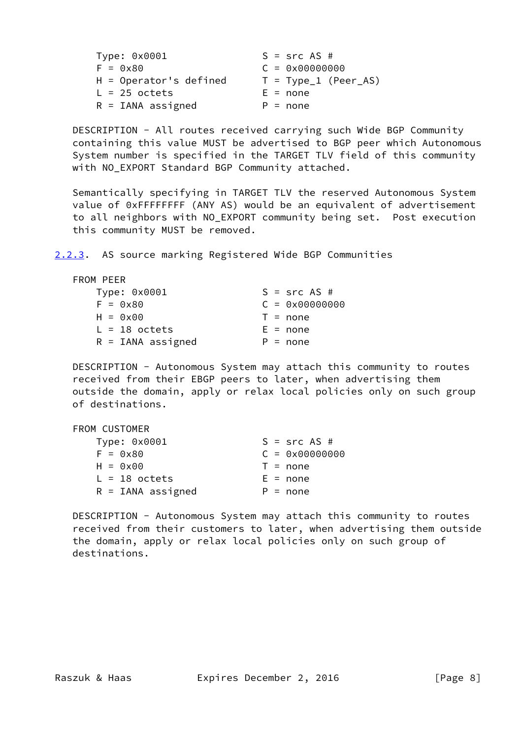| Type: 0x0001                | $S = src AS #$          |
|-----------------------------|-------------------------|
| $F = \theta \times 8\theta$ | $C = 0 \times 00000000$ |
| $H =$ Operator's defined    | $T = Type_1 (Peer_A S)$ |
| $L = 25$ octets             | $E = none$              |
| $R = IANA$ assigned         | $P = none$              |

 DESCRIPTION - All routes received carrying such Wide BGP Community containing this value MUST be advertised to BGP peer which Autonomous System number is specified in the TARGET TLV field of this community with NO\_EXPORT Standard BGP Community attached.

 Semantically specifying in TARGET TLV the reserved Autonomous System value of 0xFFFFFFFF (ANY AS) would be an equivalent of advertisement to all neighbors with NO\_EXPORT community being set. Post execution this community MUST be removed.

<span id="page-8-0"></span>[2.2.3](#page-8-0). AS source marking Registered Wide BGP Communities

| FROM PEER           |                         |
|---------------------|-------------------------|
| Type: 0x0001        | $S = src AS #$          |
| $F = 0x80$          | $C = 0 \times 00000000$ |
| $H = 0x00$          | $T = none$              |
| $L = 18$ octets     | $E = none$              |
| $R = IANA$ assigned | $P = none$              |

 DESCRIPTION - Autonomous System may attach this community to routes received from their EBGP peers to later, when advertising them outside the domain, apply or relax local policies only on such group of destinations.

| FROM CUSTOMER       |                         |
|---------------------|-------------------------|
| Type: 0x0001        | $S = src AS #$          |
| $F = 0x80$          | $C = 0 \times 00000000$ |
| $H = 0 \times 00$   | $T = none$              |
| $L = 18$ octets     | $E = none$              |
| $R = IANA$ assigned | $P = none$              |

 DESCRIPTION - Autonomous System may attach this community to routes received from their customers to later, when advertising them outside the domain, apply or relax local policies only on such group of destinations.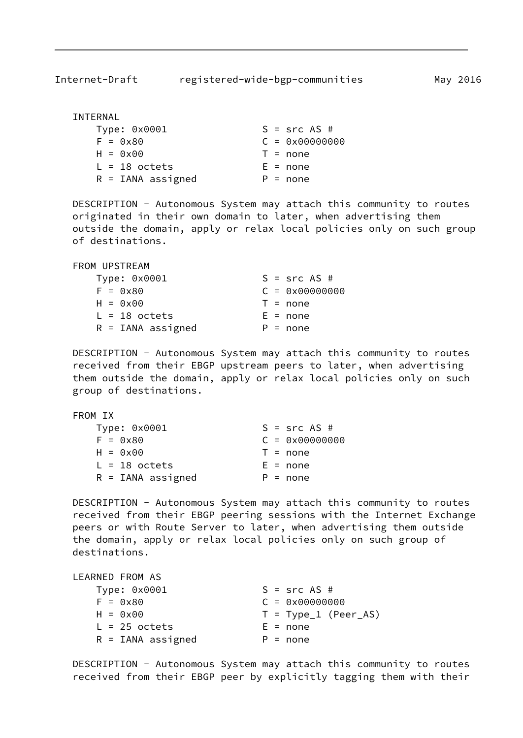| INTERNAL            |                         |
|---------------------|-------------------------|
| Type: 0x0001        | $S = src AS #$          |
| $F = 0x80$          | $C = 0 \times 00000000$ |
| $H = 0 \times 00$   | $T = none$              |
| $L = 18$ octets     | $E = none$              |
| $R = IANA$ assigned | $P = none$              |

 DESCRIPTION - Autonomous System may attach this community to routes originated in their own domain to later, when advertising them outside the domain, apply or relax local policies only on such group of destinations.

| FROM UPSTREAM   |                     |  |                         |
|-----------------|---------------------|--|-------------------------|
| Type: 0x0001    |                     |  | $S = src AS #$          |
| $F = 0x80$      |                     |  | $C = 0 \times 00000000$ |
| $H = 0x00$      |                     |  | $T = none$              |
| $L = 18$ octets |                     |  | $E = none$              |
|                 | $R = IANA$ assigned |  | $P = none$              |

 DESCRIPTION - Autonomous System may attach this community to routes received from their EBGP upstream peers to later, when advertising them outside the domain, apply or relax local policies only on such group of destinations.

FROM IX

| Type: 0x0001                      | $S = src AS #$          |
|-----------------------------------|-------------------------|
| $F = 0x80$                        | $C = 0 \times 00000000$ |
| $H = \Theta \times \Theta \Theta$ | $T = none$              |
| $L = 18$ octets                   | $E = none$              |
| $R = IANA$ assigned               | $P = none$              |

 DESCRIPTION - Autonomous System may attach this community to routes received from their EBGP peering sessions with the Internet Exchange peers or with Route Server to later, when advertising them outside the domain, apply or relax local policies only on such group of destinations.

| LEARNED FROM AS     |                         |
|---------------------|-------------------------|
| Type: 0x0001        | $S = src AS #$          |
| $F = 0x80$          | $C = 0 \times 00000000$ |
| $H = 0x00$          | $T = Type_1 (Peer_A S)$ |
| $L = 25$ octets     | $E = none$              |
| $R = IANA$ assigned | $P = none$              |

 DESCRIPTION - Autonomous System may attach this community to routes received from their EBGP peer by explicitly tagging them with their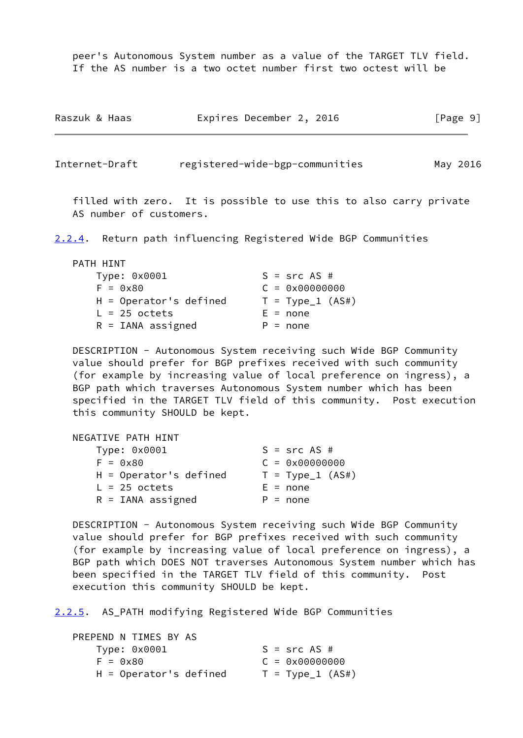peer's Autonomous System number as a value of the TARGET TLV field. If the AS number is a two octet number first two octest will be

| Raszuk & Haas | Expires December 2, 2016 |  | [Page 9] |  |
|---------------|--------------------------|--|----------|--|
|               |                          |  |          |  |

<span id="page-10-0"></span>Internet-Draft registered-wide-bgp-communities May 2016

 filled with zero. It is possible to use this to also carry private AS number of customers.

<span id="page-10-2"></span>[2.2.4](#page-10-2). Return path influencing Registered Wide BGP Communities

| PATH HINT                |                         |
|--------------------------|-------------------------|
| Type: 0x0001             | $S = src AS #$          |
| $F = 0x80$               | $C = 0 \times 00000000$ |
| $H =$ Operator's defined | $T = Type_1 (AS#)$      |
| $L = 25$ octets          | $E = none$              |
| $R = IANA$ assigned      | $P = none$              |

 DESCRIPTION - Autonomous System receiving such Wide BGP Community value should prefer for BGP prefixes received with such community (for example by increasing value of local preference on ingress), a BGP path which traverses Autonomous System number which has been specified in the TARGET TLV field of this community. Post execution this community SHOULD be kept.

| NEGATIVE PATH HINT          |                         |
|-----------------------------|-------------------------|
| Type: 0x0001                | $S = src AS #$          |
| $F = \theta \times 8\theta$ | $C = 0 \times 00000000$ |
| $H =$ Operator's defined    | $T = Type_1 (AS#)$      |
| $L = 25$ octets             | $E = none$              |
| $R = IANA$ assigned         | $P = none$              |

 DESCRIPTION - Autonomous System receiving such Wide BGP Community value should prefer for BGP prefixes received with such community (for example by increasing value of local preference on ingress), a BGP path which DOES NOT traverses Autonomous System number which has been specified in the TARGET TLV field of this community. Post execution this community SHOULD be kept.

<span id="page-10-1"></span>[2.2.5](#page-10-1). AS\_PATH modifying Registered Wide BGP Communities

| PREPEND N TIMES BY AS       |                         |
|-----------------------------|-------------------------|
| Type: 0x0001                | $S = src AS #$          |
| $F = \theta \times 8\theta$ | $C = 0 \times 00000000$ |
| $H =$ Operator's defined    | $T = Type_1 (AS#)$      |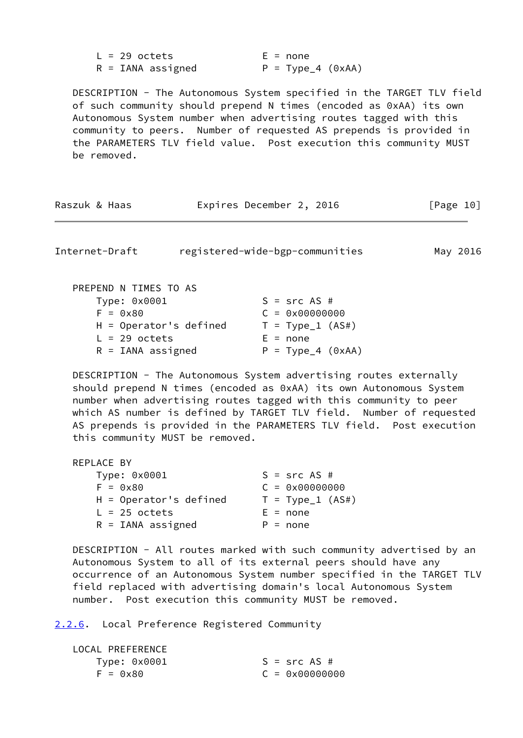| $L = 29$ octets     | $E = none$          |
|---------------------|---------------------|
| $R = IANA$ assigned | $P = Type_4 (0xAA)$ |

 DESCRIPTION - The Autonomous System specified in the TARGET TLV field of such community should prepend N times (encoded as 0xAA) its own Autonomous System number when advertising routes tagged with this community to peers. Number of requested AS prepends is provided in the PARAMETERS TLV field value. Post execution this community MUST be removed.

| Raszuk & Haas | Expires December 2, 2016 | [Page 10] |  |
|---------------|--------------------------|-----------|--|
|---------------|--------------------------|-----------|--|

<span id="page-11-1"></span>Internet-Draft registered-wide-bgp-communities May 2016

| PREPEND N TIMES TO AS    |                         |
|--------------------------|-------------------------|
| Type: 0x0001             | $S = src AS #$          |
| $F = 0 \times 80$        | $C = 0 \times 00000000$ |
| $H =$ Operator's defined | $T = Type_1 (AS#)$      |
| $L = 29$ octets          | $E = none$              |
| $R = IANA$ assigned      | $P = Type_4 (0xAA)$     |

 DESCRIPTION - The Autonomous System advertising routes externally should prepend N times (encoded as 0xAA) its own Autonomous System number when advertising routes tagged with this community to peer which AS number is defined by TARGET TLV field. Number of requested AS prepends is provided in the PARAMETERS TLV field. Post execution this community MUST be removed.

| REPLACE BY                  |                         |
|-----------------------------|-------------------------|
| Type: 0x0001                | $S = src AS #$          |
| $F = \theta \times 8\theta$ | $C = 0 \times 00000000$ |
| $H =$ Operator's defined    | $T = Type_1 (AS#)$      |
| $L = 25$ octets             | $E = none$              |
| $R = IANA$ assigned         | $P = none$              |

 DESCRIPTION - All routes marked with such community advertised by an Autonomous System to all of its external peers should have any occurrence of an Autonomous System number specified in the TARGET TLV field replaced with advertising domain's local Autonomous System number. Post execution this community MUST be removed.

<span id="page-11-0"></span>[2.2.6](#page-11-0). Local Preference Registered Community

| LOCAL PREFERENCE            |                         |
|-----------------------------|-------------------------|
| Type: 0x0001                | $S = src AS #$          |
| $F = \theta \times 8\theta$ | $C = 0 \times 00000000$ |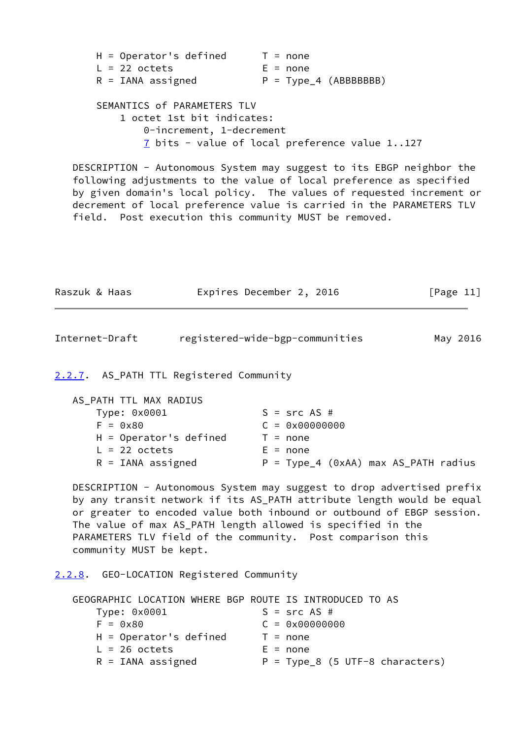| $H =$ Operator's defined | $T = none$             |
|--------------------------|------------------------|
| $L = 22$ octets          | $E = none$             |
| $R = IANA$ assigned      | $P = Type_4 (ABBBBBB)$ |
|                          |                        |

```
 SEMANTICS of PARAMETERS TLV
1 octet 1st bit indicates:
    0-increment, 1-decrement
    7 bits - value of local preference value 1..127
```
 DESCRIPTION - Autonomous System may suggest to its EBGP neighbor the following adjustments to the value of local preference as specified by given domain's local policy. The values of requested increment or decrement of local preference value is carried in the PARAMETERS TLV field. Post execution this community MUST be removed.

| Raszuk & Haas | Expires December 2, 2016 | [Page 11] |
|---------------|--------------------------|-----------|
|               |                          |           |

<span id="page-12-1"></span>

| Internet-Draft | registered-wide-bgp-communities | May 2016 |
|----------------|---------------------------------|----------|
|                |                                 |          |

### <span id="page-12-0"></span>[2.2.7](#page-12-0). AS\_PATH TTL Registered Community

| AS_PATH TTL MAX RADIUS   |                                        |
|--------------------------|----------------------------------------|
| Type: 0x0001             | $S = src AS #$                         |
| $F = 0x80$               | $C = 0 \times 00000000$                |
| $H =$ Operator's defined | $T = none$                             |
| $L = 22$ octets          | $E = none$                             |
| $R = IANA$ assigned      | $P = Type_4$ (0xAA) max AS_PATH radius |

 DESCRIPTION - Autonomous System may suggest to drop advertised prefix by any transit network if its AS\_PATH attribute length would be equal or greater to encoded value both inbound or outbound of EBGP session. The value of max AS\_PATH length allowed is specified in the PARAMETERS TLV field of the community. Post comparison this community MUST be kept.

<span id="page-12-2"></span>[2.2.8](#page-12-2). GEO-LOCATION Registered Community

| GEOGRAPHIC LOCATION WHERE BGP ROUTE IS INTRODUCED TO AS |                                   |
|---------------------------------------------------------|-----------------------------------|
| Type: 0x0001                                            | $S = src AS #$                    |
| $F = 0x80$                                              | $C = 0 \times 00000000$           |
| $H =$ Operator's defined                                | $T = none$                        |
| $L = 26$ octets                                         | $E = none$                        |
| $R = IANA$ assigned                                     | $P = Type_8$ (5 UTF-8 characters) |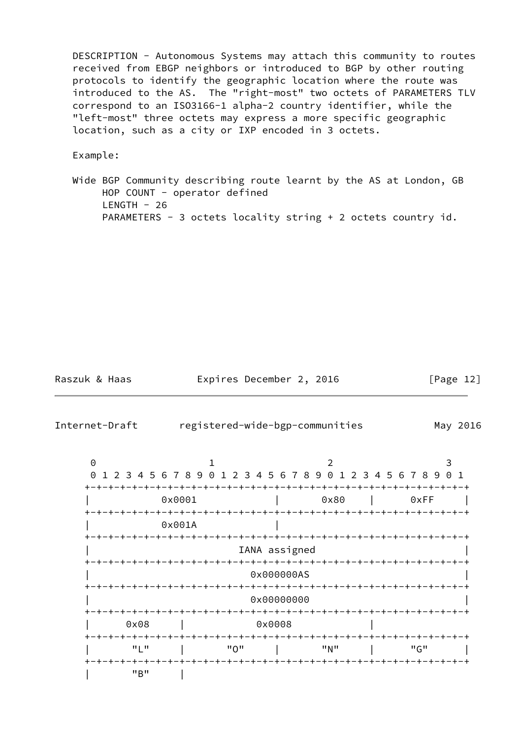DESCRIPTION - Autonomous Systems may attach this community to routes received from EBGP neighbors or introduced to BGP by other routing protocols to identify the geographic location where the route was introduced to the AS. The "right-most" two octets of PARAMETERS TLV correspond to an ISO3166-1 alpha-2 country identifier, while the "left-most" three octets may express a more specific geographic location, such as a city or IXP encoded in 3 octets.

Example:

 Wide BGP Community describing route learnt by the AS at London, GB HOP COUNT - operator defined  $LENGTH - 26$ PARAMETERS - 3 octets locality string + 2 octets country id.

Raszuk & Haas **Expires December 2, 2016** [Page 12]

<span id="page-13-0"></span>

| Internet-Draft |                                                               |               | registered-wide-bgp-communities |                           |      | May 2016 |
|----------------|---------------------------------------------------------------|---------------|---------------------------------|---------------------------|------|----------|
| $\Theta$       | 1                                                             |               | 2                               |                           | 3    |          |
| $\Theta$       | 1 2 3 4 5 6 7 8 9 0 1 2 3 4 5 6 7 8 9 0 1 2 3 4 5 6 7 8 9 0 1 |               |                                 |                           |      |          |
|                | 0x0001                                                        |               | 0x80                            |                           | 0xFF |          |
|                | 0x001A                                                        |               |                                 |                           |      |          |
|                | -+-+-+-+-+-+-+-+-+-+-+-+-                                     | IANA assigned |                                 | -+-+-+-+-+-+-+-+-+-+-+-+- |      |          |
|                |                                                               | 0x000000AS    |                                 |                           |      |          |
|                |                                                               | 0x00000000    |                                 |                           |      |          |
| 0x08           |                                                               | 0x0008        |                                 |                           |      |          |
| "L"            | "0"                                                           |               | "N"                             |                           | "G"  |          |
| "B"            |                                                               |               |                                 |                           |      |          |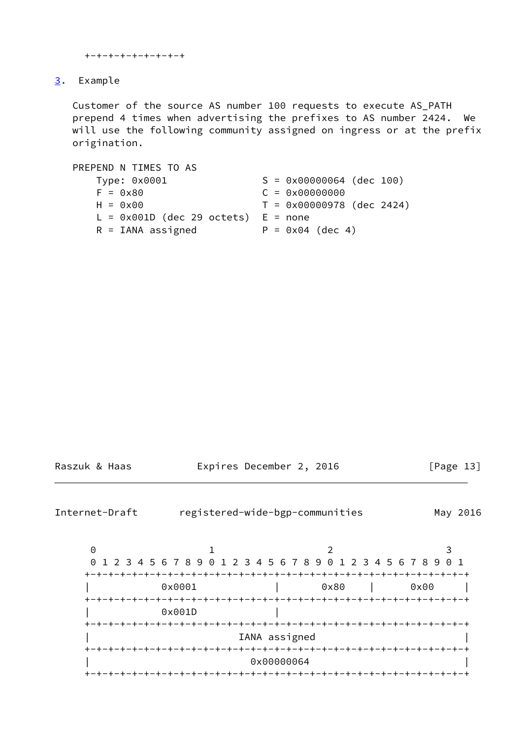```
 +-+-+-+-+-+-+-+-+
```
## <span id="page-14-0"></span>[3](#page-14-0). Example

 Customer of the source AS number 100 requests to execute AS\_PATH prepend 4 times when advertising the prefixes to AS number 2424. We will use the following community assigned on ingress or at the prefix origination.

| PREPEND N TIMES TO AS                   |                                   |
|-----------------------------------------|-----------------------------------|
| Type: 0x0001                            | $S = 0 \times 00000064$ (dec 100) |
| $F = 0 \times 80$                       | $C = 0 \times 00000000$           |
| $H = 0 \times 00$                       | $T = 0x00000978$ (dec 2424)       |
| $L = 0x001D$ (dec 29 octets) $E = none$ |                                   |
| $R = IANA$ assigned                     | $P = 0 \times 04$ (dec 4)         |

| Raszuk & Haas |  |
|---------------|--|
|               |  |

Expires December 2, 2016 [Page 13]

<span id="page-14-1"></span>Internet-Draft registered-wide-bgp-communities May 2016

| 0                    |                                                                 |                         |      |       |
|----------------------|-----------------------------------------------------------------|-------------------------|------|-------|
|                      | 0 1 2 3 4 5 6 7 8 9 0 1 2 3 4 5 6 7 8 9 0 1 2 3 4 5 6 7 8 9 0 1 |                         |      |       |
|                      |                                                                 |                         |      | . — + |
|                      | 0x0001                                                          |                         | 0x80 | 0x00  |
| $+ - + - + - +$      | -+-+-+-+-+-+                                                    | +-+-+-+-+-              |      |       |
|                      | 0x001D                                                          |                         |      |       |
|                      |                                                                 |                         |      |       |
|                      |                                                                 | IANA assigned           |      |       |
|                      |                                                                 |                         |      |       |
|                      |                                                                 | 0x00000064              |      |       |
| <u> +-+-+-+-+-</u> · |                                                                 | +-+-+-+-+-+-+-+-+-+-+-+ |      |       |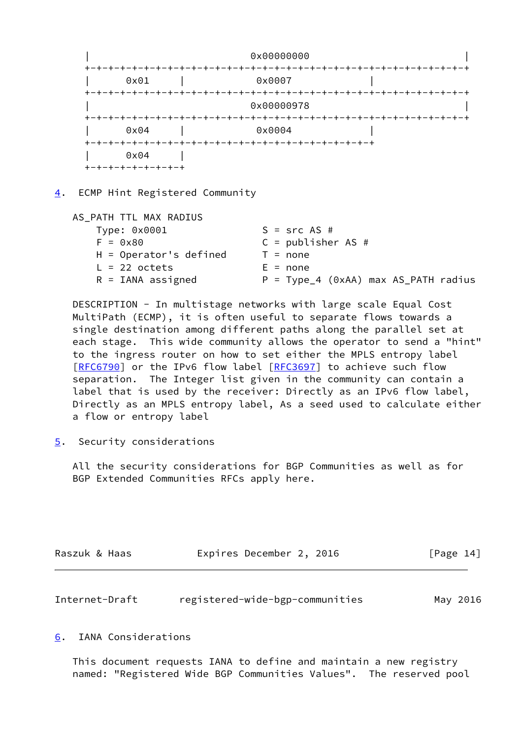

<span id="page-15-0"></span>[4](#page-15-0). ECMP Hint Registered Community

| AS_PATH TTL MAX RADIUS   |                                        |
|--------------------------|----------------------------------------|
| Type: 0x0001             | $S = src AS #$                         |
| $F = 0x80$               | $C = publisker AS #$                   |
| $H =$ Operator's defined | $T = none$                             |
| $L = 22$ octets          | $E = none$                             |
| $R = IANA$ assigned      | $P = Type_4$ (0xAA) max AS_PATH radius |

 DESCRIPTION - In multistage networks with large scale Equal Cost MultiPath (ECMP), it is often useful to separate flows towards a single destination among different paths along the parallel set at each stage. This wide community allows the operator to send a "hint" to the ingress router on how to set either the MPLS entropy label [\[RFC6790](https://datatracker.ietf.org/doc/pdf/rfc6790)] or the IPv6 flow label [\[RFC3697](https://datatracker.ietf.org/doc/pdf/rfc3697)] to achieve such flow separation. The Integer list given in the community can contain a label that is used by the receiver: Directly as an IPv6 flow label, Directly as an MPLS entropy label, As a seed used to calculate either a flow or entropy label

<span id="page-15-1"></span>[5](#page-15-1). Security considerations

 All the security considerations for BGP Communities as well as for BGP Extended Communities RFCs apply here.

| Raszuk & Haas | Expires December 2, 2016 | [Page 14] |
|---------------|--------------------------|-----------|
|               |                          |           |

<span id="page-15-3"></span>

| Internet-Draft | registered-wide-bgp-communities | May 2016 |
|----------------|---------------------------------|----------|
|----------------|---------------------------------|----------|

#### <span id="page-15-2"></span>[6](#page-15-2). IANA Considerations

 This document requests IANA to define and maintain a new registry named: "Registered Wide BGP Communities Values". The reserved pool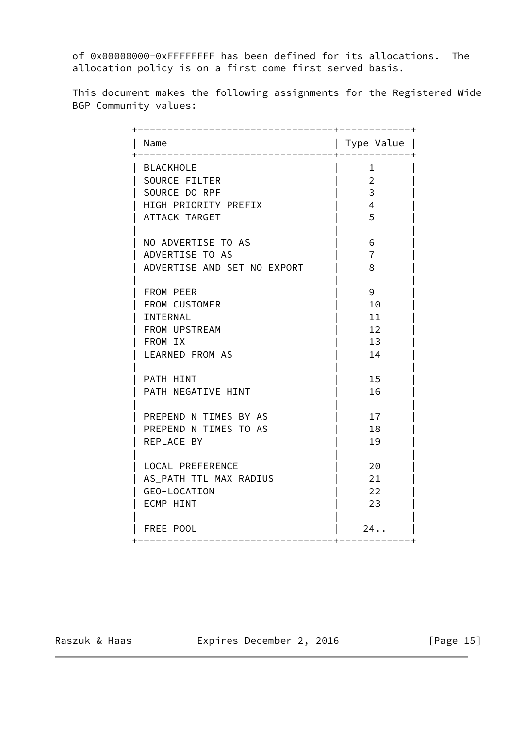of 0x00000000-0xFFFFFFFF has been defined for its allocations. The allocation policy is on a first come first served basis.

 This document makes the following assignments for the Registered Wide BGP Community values:

| Name                        | Type Value     |
|-----------------------------|----------------|
| BLACKHOLE                   | $\mathbf{1}$   |
| SOURCE FILTER               | $\overline{2}$ |
| SOURCE DO RPF               | 3              |
| HIGH PRIORITY PREFIX        | $\overline{4}$ |
| ATTACK TARGET               | 5              |
| NO ADVERTISE TO AS          | 6              |
| ADVERTISE TO AS             | $\overline{7}$ |
| ADVERTISE AND SET NO EXPORT | 8              |
| FROM PEER                   | 9              |
| FROM CUSTOMER               | 10             |
| INTERNAL                    | 11             |
| FROM UPSTREAM               | 12             |
| FROM IX                     | 13             |
| <b>LEARNED FROM AS</b>      | 14             |
| PATH HINT                   | 15             |
| PATH NEGATIVE HINT          | 16             |
|                             |                |
| PREPEND N TIMES BY AS       | 17             |
| PREPEND N TIMES TO AS       | 18             |
| REPLACE BY                  | 19             |
| LOCAL PREFERENCE            | 20             |
| AS_PATH TTL MAX RADIUS      | 21             |
| GEO-LOCATION                | 22             |
| ECMP HINT                   | 23             |
| FREE POOL                   | 24.            |

Raszuk & Haas **Expires December 2, 2016** [Page 15]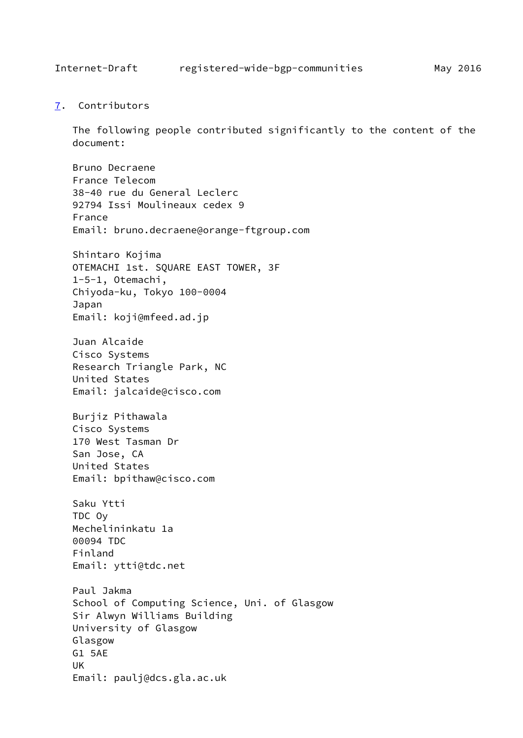<span id="page-17-1"></span><span id="page-17-0"></span>[7](#page-17-0). Contributors

 The following people contributed significantly to the content of the document:

 Bruno Decraene France Telecom 38-40 rue du General Leclerc 92794 Issi Moulineaux cedex 9 France Email: bruno.decraene@orange-ftgroup.com Shintaro Kojima OTEMACHI 1st. SQUARE EAST TOWER, 3F 1-5-1, Otemachi, Chiyoda-ku, Tokyo 100-0004 Japan

Email: koji@mfeed.ad.jp

 Juan Alcaide Cisco Systems Research Triangle Park, NC United States Email: jalcaide@cisco.com

 Burjiz Pithawala Cisco Systems 170 West Tasman Dr San Jose, CA United States Email: bpithaw@cisco.com

 Saku Ytti TDC Oy Mechelininkatu 1a 00094 TDC Finland Email: ytti@tdc.net

 Paul Jakma School of Computing Science, Uni. of Glasgow Sir Alwyn Williams Building University of Glasgow Glasgow G1 5AE UK Email: paulj@dcs.gla.ac.uk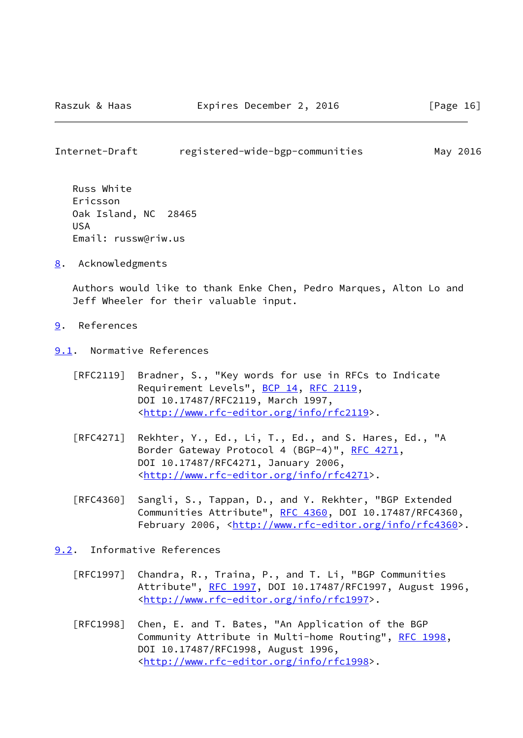<span id="page-18-1"></span>Internet-Draft registered-wide-bgp-communities May 2016

 Russ White Ericsson Oak Island, NC 28465 USA Email: russw@riw.us

<span id="page-18-0"></span>[8](#page-18-0). Acknowledgments

 Authors would like to thank Enke Chen, Pedro Marques, Alton Lo and Jeff Wheeler for their valuable input.

- <span id="page-18-2"></span>[9](#page-18-2). References
- <span id="page-18-3"></span>[9.1](#page-18-3). Normative References
	- [RFC2119] Bradner, S., "Key words for use in RFCs to Indicate Requirement Levels", [BCP 14](https://datatracker.ietf.org/doc/pdf/bcp14), [RFC 2119](https://datatracker.ietf.org/doc/pdf/rfc2119), DOI 10.17487/RFC2119, March 1997, <<http://www.rfc-editor.org/info/rfc2119>>.
	- [RFC4271] Rekhter, Y., Ed., Li, T., Ed., and S. Hares, Ed., "A Border Gateway Protocol 4 (BGP-4)", [RFC 4271,](https://datatracker.ietf.org/doc/pdf/rfc4271) DOI 10.17487/RFC4271, January 2006, <<http://www.rfc-editor.org/info/rfc4271>>.
	- [RFC4360] Sangli, S., Tappan, D., and Y. Rekhter, "BGP Extended Communities Attribute", [RFC 4360,](https://datatracker.ietf.org/doc/pdf/rfc4360) DOI 10.17487/RFC4360, February 2006, <<http://www.rfc-editor.org/info/rfc4360>>.
- <span id="page-18-4"></span>[9.2](#page-18-4). Informative References
	- [RFC1997] Chandra, R., Traina, P., and T. Li, "BGP Communities Attribute", [RFC 1997,](https://datatracker.ietf.org/doc/pdf/rfc1997) DOI 10.17487/RFC1997, August 1996, <<http://www.rfc-editor.org/info/rfc1997>>.
	- [RFC1998] Chen, E. and T. Bates, "An Application of the BGP Community Attribute in Multi-home Routing", [RFC 1998,](https://datatracker.ietf.org/doc/pdf/rfc1998) DOI 10.17487/RFC1998, August 1996, <<http://www.rfc-editor.org/info/rfc1998>>.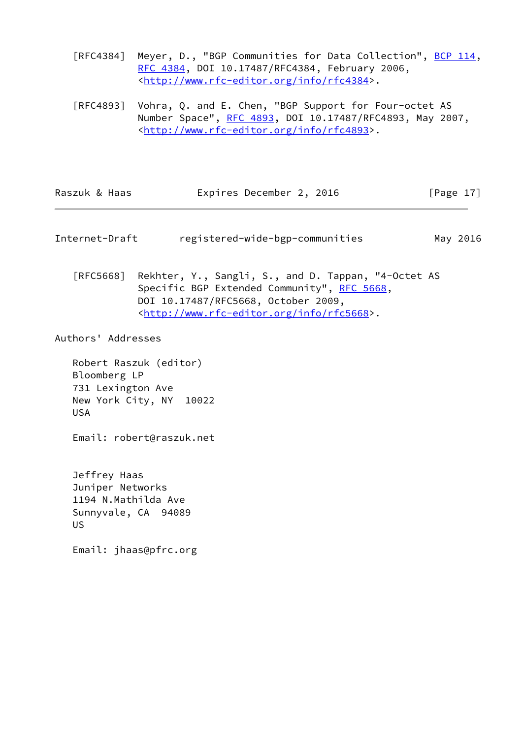[RFC4384] Meyer, D., "BGP Communities for Data Collection", [BCP 114](https://datatracker.ietf.org/doc/pdf/bcp114), [RFC 4384,](https://datatracker.ietf.org/doc/pdf/rfc4384) DOI 10.17487/RFC4384, February 2006, <<http://www.rfc-editor.org/info/rfc4384>>.

 [RFC4893] Vohra, Q. and E. Chen, "BGP Support for Four-octet AS Number Space", [RFC 4893](https://datatracker.ietf.org/doc/pdf/rfc4893), DOI 10.17487/RFC4893, May 2007, <<http://www.rfc-editor.org/info/rfc4893>>.

| Raszuk & Haas | Expires December 2, 2016 | [Page 17] |
|---------------|--------------------------|-----------|
|---------------|--------------------------|-----------|

<span id="page-19-0"></span>Internet-Draft registered-wide-bgp-communities May 2016

 [RFC5668] Rekhter, Y., Sangli, S., and D. Tappan, "4-Octet AS Specific BGP Extended Community", [RFC 5668](https://datatracker.ietf.org/doc/pdf/rfc5668), DOI 10.17487/RFC5668, October 2009, <<http://www.rfc-editor.org/info/rfc5668>>.

Authors' Addresses

 Robert Raszuk (editor) Bloomberg LP 731 Lexington Ave New York City, NY 10022 USA

Email: robert@raszuk.net

 Jeffrey Haas Juniper Networks 1194 N.Mathilda Ave Sunnyvale, CA 94089 US

Email: jhaas@pfrc.org